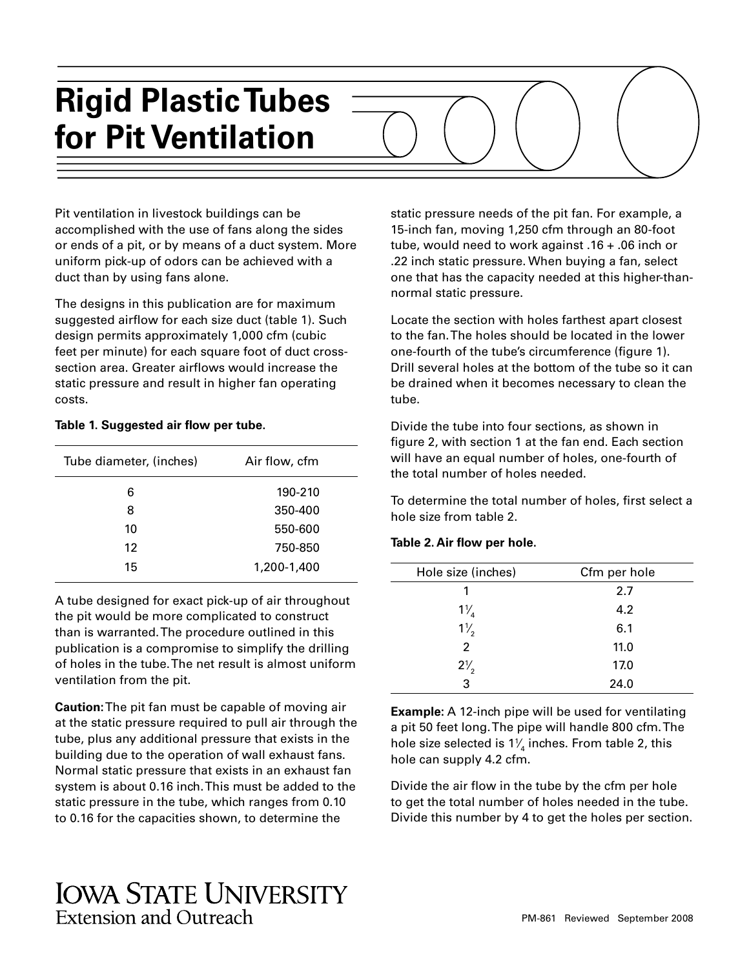# **Rigid Plastic Tubes for Pit Ventilation**

Pit ventilation in livestock buildings can be accomplished with the use of fans along the sides or ends of a pit, or by means of a duct system. More uniform pick-up of odors can be achieved with a duct than by using fans alone.

The designs in this publication are for maximum suggested airflow for each size duct (table 1). Such design permits approximately 1,000 cfm (cubic feet per minute) for each square foot of duct crosssection area. Greater airflows would increase the static pressure and result in higher fan operating costs.

#### **Table 1. Suggested air flow per tube.**

| Tube diameter, (inches) | Air flow, cfm |
|-------------------------|---------------|
| 6                       | 190-210       |
| 8                       | 350-400       |
| 10                      | 550-600       |
| 12                      | 750-850       |
| 15                      | 1,200-1,400   |
|                         |               |

A tube designed for exact pick-up of air throughout the pit would be more complicated to construct than is warranted. The procedure outlined in this publication is a compromise to simplify the drilling of holes in the tube. The net result is almost uniform ventilation from the pit.

**Caution:** The pit fan must be capable of moving air at the static pressure required to pull air through the tube, plus any additional pressure that exists in the building due to the operation of wall exhaust fans. Normal static pressure that exists in an exhaust fan system is about 0.16 inch. This must be added to the static pressure in the tube, which ranges from 0.10 to 0.16 for the capacities shown, to determine the

static pressure needs of the pit fan. For example, a 15-inch fan, moving 1,250 cfm through an 80-foot tube, would need to work against .16 + .06 inch or .22 inch static pressure. When buying a fan, select one that has the capacity needed at this higher-thannormal static pressure.

Locate the section with holes farthest apart closest to the fan. The holes should be located in the lower one-fourth of the tube's circumference (figure 1). Drill several holes at the bottom of the tube so it can be drained when it becomes necessary to clean the tube.

Divide the tube into four sections, as shown in figure 2, with section 1 at the fan end. Each section will have an equal number of holes, one-fourth of the total number of holes needed.

To determine the total number of holes, first select a hole size from table 2.

#### **Table 2. Air flow per hole.**

| Hole size (inches) | Cfm per hole |
|--------------------|--------------|
| 1                  | 2.7          |
| $1\frac{1}{4}$     | 4.2          |
| $1\frac{1}{2}$     | 6.1          |
| $\overline{2}$     | 11.0         |
| $2\frac{1}{2}$     | 17.0         |
| 3                  | 24.0         |

**Example:** A 12-inch pipe will be used for ventilating a pit 50 feet long. The pipe will handle 800 cfm. The hole size selected is 1 $\frac{1}{4}$  inches. From table 2, this ⁄ hole can supply 4.2 cfm.

Divide the air flow in the tube by the cfm per hole to get the total number of holes needed in the tube. Divide this number by 4 to get the holes per section.

## **IOWA STATE UNIVERSITY** Extension and Outreach